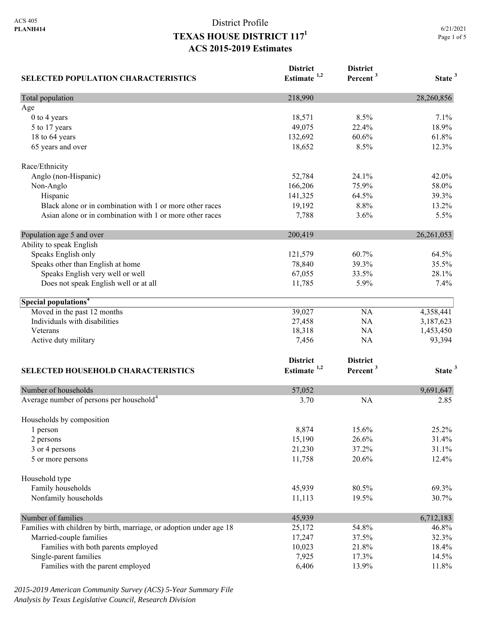| <b>SELECTED POPULATION CHARACTERISTICS</b>                          | <b>District</b><br>Estimate <sup>1,2</sup> | <b>District</b><br>Percent <sup>3</sup> | State <sup>3</sup> |
|---------------------------------------------------------------------|--------------------------------------------|-----------------------------------------|--------------------|
| Total population                                                    | 218,990                                    |                                         | 28,260,856         |
| Age                                                                 |                                            |                                         |                    |
| 0 to 4 years                                                        | 18,571                                     | 8.5%                                    | 7.1%               |
| 5 to 17 years                                                       | 49,075                                     | 22.4%                                   | 18.9%              |
| 18 to 64 years                                                      | 132,692                                    | 60.6%                                   | 61.8%              |
| 65 years and over                                                   | 18,652                                     | 8.5%                                    | 12.3%              |
| Race/Ethnicity                                                      |                                            |                                         |                    |
| Anglo (non-Hispanic)                                                | 52,784                                     | 24.1%                                   | 42.0%              |
| Non-Anglo                                                           | 166,206                                    | 75.9%                                   | 58.0%              |
| Hispanic                                                            | 141,325                                    | 64.5%                                   | 39.3%              |
| Black alone or in combination with 1 or more other races            | 19,192                                     | 8.8%                                    | 13.2%              |
| Asian alone or in combination with 1 or more other races            | 7,788                                      | 3.6%                                    | 5.5%               |
| Population age 5 and over                                           | 200,419                                    |                                         | 26, 261, 053       |
| Ability to speak English                                            |                                            |                                         |                    |
| Speaks English only                                                 | 121,579                                    | 60.7%                                   | 64.5%              |
| Speaks other than English at home                                   | 78,840                                     | 39.3%                                   | 35.5%              |
| Speaks English very well or well                                    | 67,055                                     | 33.5%                                   | 28.1%              |
| Does not speak English well or at all                               | 11,785                                     | 5.9%                                    | 7.4%               |
| Special populations <sup>4</sup>                                    |                                            |                                         |                    |
| Moved in the past 12 months                                         | 39,027                                     | <b>NA</b>                               | 4,358,441          |
| Individuals with disabilities                                       | 27,458                                     | <b>NA</b>                               | 3,187,623          |
| Veterans                                                            | 18,318                                     | <b>NA</b>                               | 1,453,450          |
| Active duty military                                                | 7,456                                      | <b>NA</b>                               | 93,394             |
|                                                                     | <b>District</b>                            | <b>District</b>                         |                    |
| <b>SELECTED HOUSEHOLD CHARACTERISTICS</b>                           | Estimate $1,2$                             | Percent <sup>3</sup>                    | State <sup>3</sup> |
| Number of households                                                | 57,052                                     |                                         | 9,691,647          |
| Average number of persons per household <sup>4</sup>                | 3.70                                       | <b>NA</b>                               | 2.85               |
| Households by composition                                           |                                            |                                         |                    |
| 1 person                                                            | 8,874                                      | 15.6%                                   | 25.2%              |
| 2 persons                                                           | 15,190                                     | 26.6%                                   | 31.4%              |
| 3 or 4 persons                                                      | 21,230                                     | 37.2%                                   | 31.1%              |
| 5 or more persons                                                   | 11,758                                     | 20.6%                                   | 12.4%              |
| Household type                                                      |                                            |                                         |                    |
| Family households                                                   | 45,939                                     | 80.5%                                   | 69.3%              |
| Nonfamily households                                                | 11,113                                     | 19.5%                                   | 30.7%              |
| Number of families                                                  | 45,939                                     |                                         | 6,712,183          |
| Families with children by birth, marriage, or adoption under age 18 | 25,172                                     | 54.8%                                   | 46.8%              |
| Married-couple families                                             | 17,247                                     | 37.5%                                   | 32.3%              |
| Families with both parents employed                                 | 10,023                                     | 21.8%                                   | 18.4%              |
| Single-parent families                                              | 7,925                                      | 17.3%                                   | 14.5%              |
| Families with the parent employed                                   | 6,406                                      | 13.9%                                   | 11.8%              |

*2015-2019 American Community Survey (ACS) 5-Year Summary File Analysis by Texas Legislative Council, Research Division*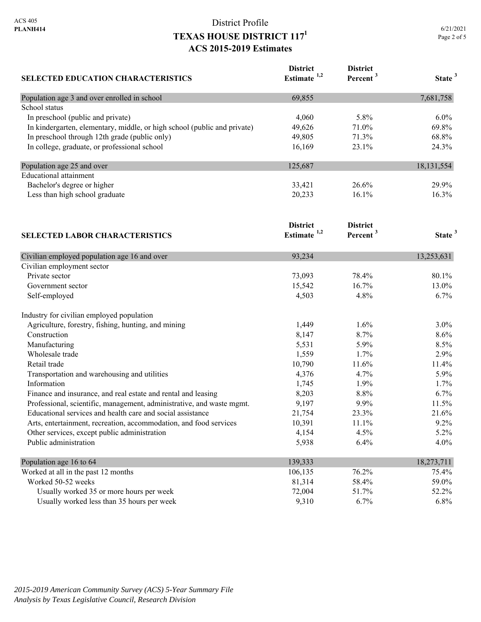| 6/21/2021   |  |
|-------------|--|
| Page 2 of 5 |  |

| <b>SELECTED EDUCATION CHARACTERISTICS</b>                                | <b>District</b><br>Estimate <sup>1,2</sup> | <b>District</b><br>Percent <sup>3</sup> | State <sup>3</sup> |
|--------------------------------------------------------------------------|--------------------------------------------|-----------------------------------------|--------------------|
| Population age 3 and over enrolled in school                             | 69,855                                     |                                         | 7,681,758          |
| School status                                                            |                                            |                                         |                    |
| In preschool (public and private)                                        | 4,060                                      | 5.8%                                    | $6.0\%$            |
| In kindergarten, elementary, middle, or high school (public and private) | 49,626                                     | 71.0%                                   | 69.8%              |
| In preschool through 12th grade (public only)                            | 49,805                                     | 71.3%                                   | 68.8%              |
| In college, graduate, or professional school                             | 16,169                                     | 23.1%                                   | 24.3%              |
| Population age 25 and over                                               | 125,687                                    |                                         | 18, 131, 554       |
| <b>Educational attainment</b>                                            |                                            |                                         |                    |
| Bachelor's degree or higher                                              | 33,421                                     | 26.6%                                   | 29.9%              |
| Less than high school graduate                                           | 20,233                                     | 16.1%                                   | 16.3%              |
|                                                                          | <b>District</b><br>Estimate $1,2$          | <b>District</b><br>Percent <sup>3</sup> | State <sup>3</sup> |
| <b>SELECTED LABOR CHARACTERISTICS</b>                                    |                                            |                                         |                    |
| Civilian employed population age 16 and over                             | 93,234                                     |                                         | 13,253,631         |
| Civilian employment sector                                               |                                            |                                         |                    |
| Private sector                                                           | 73,093                                     | 78.4%                                   | 80.1%              |
| Government sector                                                        | 15,542                                     | 16.7%                                   | 13.0%              |
| Self-employed                                                            | 4,503                                      | 4.8%                                    | 6.7%               |
| Industry for civilian employed population                                |                                            |                                         |                    |
| Agriculture, forestry, fishing, hunting, and mining                      | 1,449                                      | 1.6%                                    | $3.0\%$            |
| Construction                                                             | 8,147                                      | 8.7%                                    | 8.6%               |
| Manufacturing                                                            | 5,531                                      | 5.9%                                    | 8.5%               |
| Wholesale trade                                                          | 1,559                                      | 1.7%                                    | 2.9%               |
| Retail trade                                                             | 10,790                                     | 11.6%                                   | 11.4%              |
| Transportation and warehousing and utilities                             | 4,376                                      | 4.7%                                    | 5.9%               |
| Information                                                              | 1,745                                      | 1.9%                                    | 1.7%               |
| Finance and insurance, and real estate and rental and leasing            | 8,203                                      | 8.8%                                    | 6.7%               |
| Professional, scientific, management, administrative, and waste mgmt.    | 9,197                                      | 9.9%                                    | 11.5%              |
| Educational services and health care and social assistance               | 21,754                                     | 23.3%                                   | 21.6%              |
| Arts, entertainment, recreation, accommodation, and food services        | 10,391                                     | 11.1%                                   | 9.2%               |
| Other services, except public administration                             | 4,154                                      | 4.5%                                    | 5.2%               |
| Public administration                                                    | 5,938                                      | 6.4%                                    | 4.0%               |
| Population age 16 to 64                                                  | 139,333                                    |                                         | 18,273,711         |
| Worked at all in the past 12 months                                      | 106,135                                    | 76.2%                                   | 75.4%              |
| Worked 50-52 weeks                                                       | 81,314                                     | 58.4%                                   | 59.0%              |
| Usually worked 35 or more hours per week                                 | 72,004                                     | 51.7%                                   | 52.2%              |
| Usually worked less than 35 hours per week                               | 9,310                                      | 6.7%                                    | 6.8%               |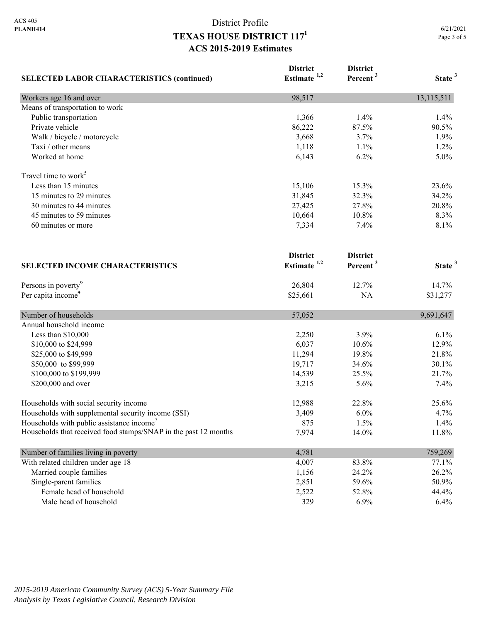|                                                                 | <b>District</b><br>Estimate <sup>1,2</sup> | <b>District</b><br>Percent <sup>3</sup> | State <sup>3</sup> |
|-----------------------------------------------------------------|--------------------------------------------|-----------------------------------------|--------------------|
| <b>SELECTED LABOR CHARACTERISTICS (continued)</b>               |                                            |                                         |                    |
| Workers age 16 and over                                         | 98,517                                     |                                         | 13,115,511         |
| Means of transportation to work                                 |                                            |                                         |                    |
| Public transportation                                           | 1,366                                      | 1.4%                                    | 1.4%               |
| Private vehicle                                                 | 86,222                                     | 87.5%                                   | 90.5%              |
| Walk / bicycle / motorcycle                                     | 3,668                                      | 3.7%                                    | 1.9%               |
| Taxi / other means                                              | 1,118                                      | 1.1%                                    | 1.2%               |
| Worked at home                                                  | 6,143                                      | 6.2%                                    | 5.0%               |
| Travel time to work <sup>5</sup>                                |                                            |                                         |                    |
| Less than 15 minutes                                            | 15,106                                     | 15.3%                                   | 23.6%              |
| 15 minutes to 29 minutes                                        | 31,845                                     | 32.3%                                   | 34.2%              |
| 30 minutes to 44 minutes                                        | 27,425                                     | 27.8%                                   | 20.8%              |
| 45 minutes to 59 minutes                                        | 10,664                                     | 10.8%                                   | 8.3%               |
| 60 minutes or more                                              | 7,334                                      | 7.4%                                    | 8.1%               |
|                                                                 | <b>District</b>                            | <b>District</b>                         |                    |
| <b>SELECTED INCOME CHARACTERISTICS</b>                          | Estimate $1,2$                             | Percent <sup>3</sup>                    | State <sup>3</sup> |
| Persons in poverty <sup>6</sup>                                 | 26,804                                     | 12.7%                                   | 14.7%              |
| Per capita income <sup>4</sup>                                  | \$25,661                                   | <b>NA</b>                               | \$31,277           |
| Number of households                                            | 57,052                                     |                                         | 9,691,647          |
| Annual household income                                         |                                            |                                         |                    |
| Less than \$10,000                                              | 2,250                                      | 3.9%                                    | 6.1%               |
| \$10,000 to \$24,999                                            | 6,037                                      | 10.6%                                   | 12.9%              |
| \$25,000 to \$49,999                                            | 11,294                                     | 19.8%                                   | 21.8%              |
| \$50,000 to \$99,999                                            | 19,717                                     | 34.6%                                   | 30.1%              |
| \$100,000 to \$199,999                                          | 14,539                                     | 25.5%                                   | 21.7%              |
| \$200,000 and over                                              | 3,215                                      | 5.6%                                    | 7.4%               |
| Households with social security income                          | 12,988                                     | 22.8%                                   | 25.6%              |
| Households with supplemental security income (SSI)              | 3,409                                      | 6.0%                                    | 4.7%               |
| Households with public assistance income                        | 875                                        | 1.5%                                    | 1.4%               |
| Households that received food stamps/SNAP in the past 12 months | 7,974                                      | 14.0%                                   | 11.8%              |
| Number of families living in poverty                            | 4,781                                      |                                         | 759,269            |
| With related children under age 18                              | 4,007                                      | 83.8%                                   | 77.1%              |
| Married couple families                                         | 1,156                                      | 24.2%                                   | 26.2%              |
| Single-parent families                                          | 2,851                                      | 59.6%                                   | 50.9%              |
| Female head of household                                        | 2,522                                      | 52.8%                                   | 44.4%              |
| Male head of household                                          | 329                                        | 6.9%                                    | 6.4%               |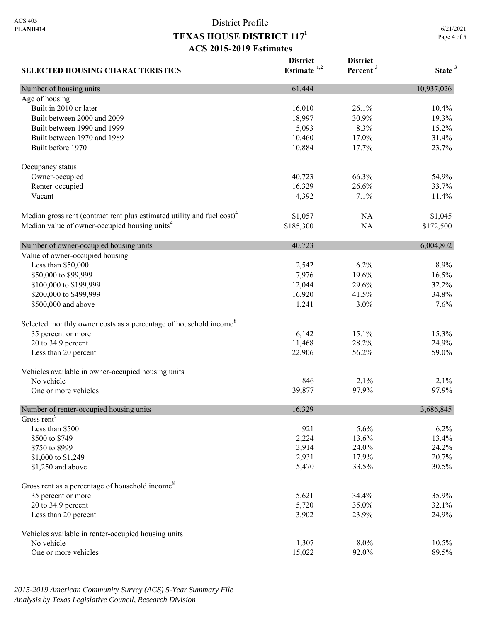6/21/2021 Page 4 of 5

| <b>SELECTED HOUSING CHARACTERISTICS</b>                                             | <b>District</b><br>Estimate $1,2$ | <b>District</b><br>Percent <sup>3</sup> | State <sup>3</sup> |
|-------------------------------------------------------------------------------------|-----------------------------------|-----------------------------------------|--------------------|
| Number of housing units                                                             | 61,444                            |                                         | 10,937,026         |
| Age of housing                                                                      |                                   |                                         |                    |
| Built in 2010 or later                                                              | 16,010                            | 26.1%                                   | 10.4%              |
| Built between 2000 and 2009                                                         | 18,997                            | 30.9%                                   | 19.3%              |
| Built between 1990 and 1999                                                         | 5,093                             | 8.3%                                    | 15.2%              |
| Built between 1970 and 1989                                                         | 10,460                            | 17.0%                                   | 31.4%              |
| Built before 1970                                                                   | 10,884                            | 17.7%                                   | 23.7%              |
| Occupancy status                                                                    |                                   |                                         |                    |
| Owner-occupied                                                                      | 40,723                            | 66.3%                                   | 54.9%              |
| Renter-occupied                                                                     | 16,329                            | 26.6%                                   | 33.7%              |
| Vacant                                                                              | 4,392                             | 7.1%                                    | 11.4%              |
| Median gross rent (contract rent plus estimated utility and fuel cost) <sup>4</sup> | \$1,057                           | NA                                      | \$1,045            |
| Median value of owner-occupied housing units <sup>4</sup>                           | \$185,300                         | <b>NA</b>                               | \$172,500          |
| Number of owner-occupied housing units                                              | 40,723                            |                                         | 6,004,802          |
| Value of owner-occupied housing                                                     |                                   |                                         |                    |
| Less than \$50,000                                                                  | 2,542                             | 6.2%                                    | 8.9%               |
| \$50,000 to \$99,999                                                                | 7,976                             | 19.6%                                   | 16.5%              |
| \$100,000 to \$199,999                                                              | 12,044                            | 29.6%                                   | 32.2%              |
| \$200,000 to \$499,999                                                              | 16,920                            | 41.5%                                   | 34.8%              |
| \$500,000 and above                                                                 | 1,241                             | 3.0%                                    | 7.6%               |
| Selected monthly owner costs as a percentage of household income <sup>8</sup>       |                                   |                                         |                    |
| 35 percent or more                                                                  | 6,142                             | 15.1%                                   | 15.3%              |
| 20 to 34.9 percent                                                                  | 11,468                            | 28.2%                                   | 24.9%              |
| Less than 20 percent                                                                | 22,906                            | 56.2%                                   | 59.0%              |
| Vehicles available in owner-occupied housing units                                  |                                   |                                         |                    |
| No vehicle                                                                          | 846                               | 2.1%                                    | 2.1%               |
| One or more vehicles                                                                | 39,877                            | 97.9%                                   | 97.9%              |
| Number of renter-occupied housing units                                             | 16,329                            |                                         | 3,686,845          |
| Gross rent <sup>9</sup>                                                             |                                   |                                         |                    |
| Less than \$500                                                                     | 921                               | 5.6%                                    | 6.2%               |
| \$500 to \$749                                                                      | 2,224                             | 13.6%                                   | 13.4%              |
| \$750 to \$999                                                                      | 3,914                             | 24.0%                                   | 24.2%              |
| \$1,000 to \$1,249                                                                  | 2,931                             | 17.9%                                   | 20.7%              |
| \$1,250 and above                                                                   | 5,470                             | 33.5%                                   | 30.5%              |
| Gross rent as a percentage of household income <sup>8</sup>                         |                                   |                                         |                    |
| 35 percent or more                                                                  | 5,621                             | 34.4%                                   | 35.9%              |
| 20 to 34.9 percent                                                                  | 5,720                             | 35.0%                                   | 32.1%              |
| Less than 20 percent                                                                | 3,902                             | 23.9%                                   | 24.9%              |
| Vehicles available in renter-occupied housing units                                 |                                   |                                         |                    |
| No vehicle                                                                          | 1,307                             | 8.0%                                    | 10.5%              |
| One or more vehicles                                                                | 15,022                            | 92.0%                                   | 89.5%              |